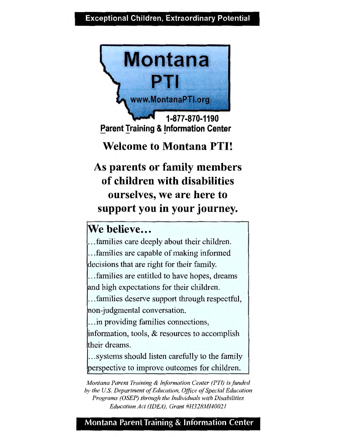#### **Exceptional Children, Extraordinary Potential**



**1-877-870-1190 Parent Training & Information Center** 

### **Welcome to Montana PTI!**

**As parents or family members of children with disabilities ourselves, we are here to support you in your journey.** 

## We believe...

. families care deeply about their children. . . . families are capable of making informed decisions that are right for their family.

. . . families are entitled to have hopes, dreams and high expectations for their children.

. . . families deserve support through respectful, non-judgmental conversation.

. . . in providing families connections, information, tools, & resources to accomplish their dreams.

. . . systems should listen carefully to the family perspective to improve outcomes for children.

*Montana Parent Training* & *Information Center (PT/) is funded by the U.S. Department of Education, Office of Special Education Programs (OSEP) through the Individuals with Disabilities Education Act (IDEA), Grant #H328M/40021* 

#### **Montana Parent Training & Information Center**